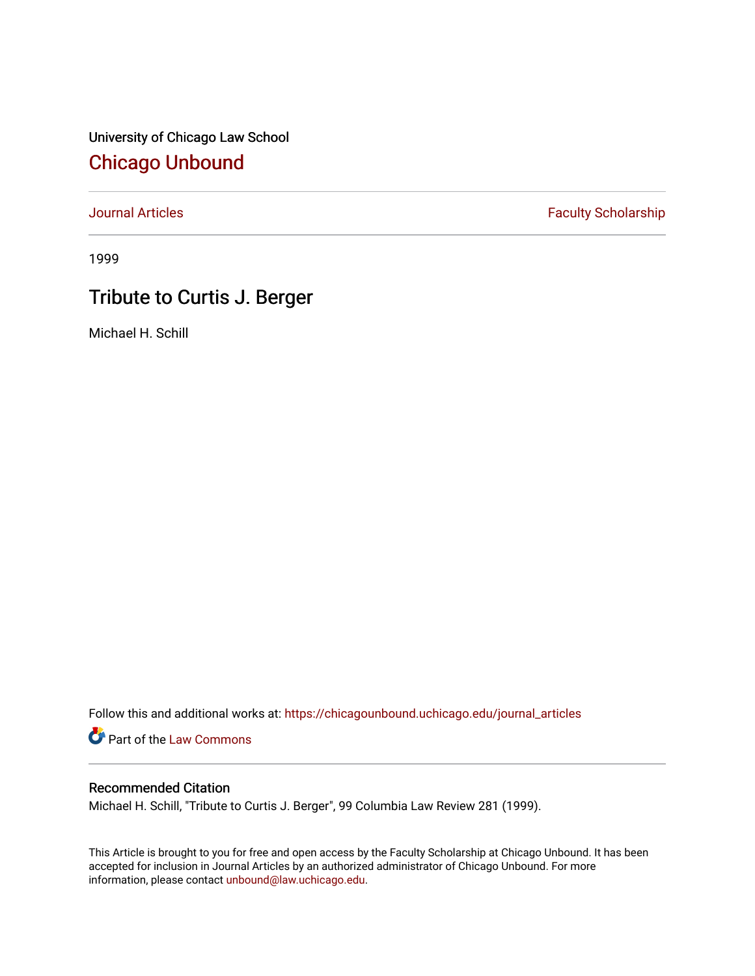University of Chicago Law School [Chicago Unbound](https://chicagounbound.uchicago.edu/)

[Journal Articles](https://chicagounbound.uchicago.edu/journal_articles) **Faculty Scholarship Faculty Scholarship** 

1999

## Tribute to Curtis J. Berger

Michael H. Schill

Follow this and additional works at: [https://chicagounbound.uchicago.edu/journal\\_articles](https://chicagounbound.uchicago.edu/journal_articles?utm_source=chicagounbound.uchicago.edu%2Fjournal_articles%2F1929&utm_medium=PDF&utm_campaign=PDFCoverPages) 

Part of the [Law Commons](http://network.bepress.com/hgg/discipline/578?utm_source=chicagounbound.uchicago.edu%2Fjournal_articles%2F1929&utm_medium=PDF&utm_campaign=PDFCoverPages)

## Recommended Citation

Michael H. Schill, "Tribute to Curtis J. Berger", 99 Columbia Law Review 281 (1999).

This Article is brought to you for free and open access by the Faculty Scholarship at Chicago Unbound. It has been accepted for inclusion in Journal Articles by an authorized administrator of Chicago Unbound. For more information, please contact [unbound@law.uchicago.edu](mailto:unbound@law.uchicago.edu).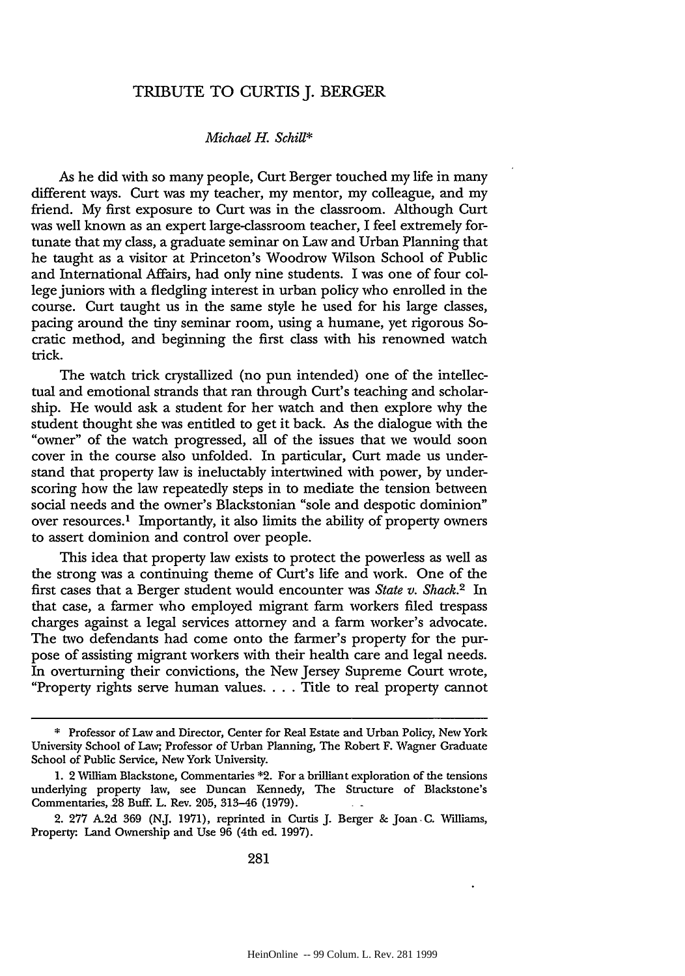## TRIBUTE TO CURTIS J. BERGER

## *Michael H. Schill\**

As he did with so many people, Curt Berger touched my life in many different ways. Curt was my teacher, my mentor, my colleague, and my friend. My first exposure to Curt was in the classroom. Although Curt was well known as an expert large-classroom teacher, I feel extremely fortunate that my class, a graduate seminar on Law and Urban Planning that he taught as a visitor at Princeton's Woodrow Wilson School of Public and International Affairs, had only nine students. I was one of four college juniors with a fledgling interest in urban policy who enrolled in the course. Curt taught us in the same style he used for his large classes, pacing around the tiny seminar room, using a humane, yet rigorous Socratic method, and beginning the first class with his renowned watch trick.

The watch trick crystallized (no pun intended) one of the intellectual and emotional strands that ran through Curt's teaching and scholarship. He would ask a student for her watch and then explore why the student thought she was entitled to get it back. As the dialogue with the "owner" of the watch progressed, all of the issues that we would soon cover in the course also unfolded. In particular, Curt made us understand that property law is ineluctably intertwined with power, by underscoring how the law repeatedly steps in to mediate the tension between social needs and the owner's Blackstonian "sole and despotic dominion" over resources.' Importantly, it also limits the ability of property owners to assert dominion and control over people.

This idea that property law exists to protect the powerless as well as the strong was a continuing theme of Curt's life and work. One of the first cases that a Berger student would encounter was *State v. Shack.2* In that case, a farmer who employed migrant farm workers filed trespass charges against a legal services attorney and a farm worker's advocate. The two defendants had come onto the farmer's property for the purpose of assisting migrant workers with their health care and legal needs. In overturning their convictions, the New Jersey Supreme Court wrote, "Property rights serve human values **....** Title to real property cannot

<sup>\*</sup> Professor of Law and Director, Center for Real Estate and Urban Policy, New York University School of Law; Professor of Urban Planning, The Robert F. Wagner Graduate School of Public Service, New York University.

<sup>1. 2</sup> William Blackstone, Commentaries \*2. For a brilliant exploration of the tensions underlying property law, see Duncan Kennedy, The Structure of Blackstone's Commentaries, 28 Buff. L. Rev. **205,** 313-46 (1979).

<sup>2.</sup> **277 A.2d 369 (N.J.** 1971), reprinted in Curtis J. Berger **&** Joan **C.** Williams, Property- Land Ownership and Use **96** (4th ed. 1997).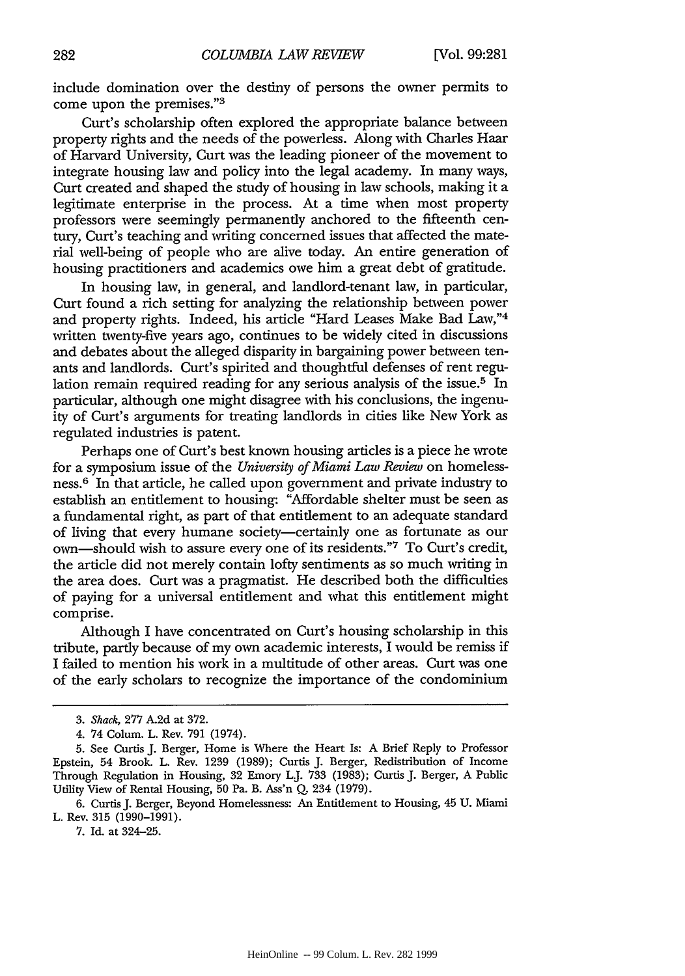include domination over the destiny of persons the owner permits to come upon the premises."3

Curt's scholarship often explored the appropriate balance between property rights and the needs of the powerless. Along with Charles Haar of Harvard University, Curt was the leading pioneer of the movement to integrate housing law and policy into the legal academy. In many ways, Curt created and shaped the study of housing in law schools, making it a legitimate enterprise in the process. At a time when most property professors were seemingly permanently anchored to the fifteenth century, Curt's teaching and writing concerned issues that affected the material well-being of people who are alive today. An entire generation of housing practitioners and academics owe him a great debt of gratitude.

In housing law, in general, and landlord-tenant law, in particular, Curt found a rich setting for analyzing the relationship between power and property rights. Indeed, his article "Hard Leases Make Bad Law,"<sup>4</sup> written twenty-five years ago, continues to be widely cited in discussions and debates about the alleged disparity in bargaining power between tenants and landlords. Curt's spirited and thoughtful defenses of rent regulation remain required reading for any serious analysis of the issue.<sup>5</sup> In particular, although one might disagree with his conclusions, the ingenuity of Curt's arguments for treating landlords in cities like New York as regulated industries is patent.

Perhaps one of Curt's best known housing articles is a piece he wrote for a symposium issue of the *University of Miami Law Review* on homelessness. 6 In that article, he called upon government and private industry to establish an entitlement to housing: "Affordable shelter must be seen as a fundamental right, as part of that entitlement to an adequate standard of living that every humane society-certainly one as fortunate as our own-should wish to assure every one of its residents."7 To Curt's credit, the article did not merely contain lofty sentiments as so much writing in the area does. Curt was a pragmatist. He described both the difficulties of paying for a universal entitlement and what this entitlement might comprise.

Although I have concentrated on Curt's housing scholarship in this tribute, partly because of my own academic interests, I would be remiss if I failed to mention his work in a multitude of other areas. Curt was one of the early scholars to recognize the importance of the condominium

**7.** Id. at 324-25.

*<sup>3.</sup> Shack,* 277 A.2d at 372.

<sup>4. 74</sup> Colum. L. Rev. 791 (1974).

<sup>5.</sup> See Curtis J. Berger, Home is Where the Heart Is: A Brief Reply to Professor Epstein, 54 Brook. L. Rev. 1239 (1989); Curtis J. Berger, Redistribution of Income Through Regulation in Housing, 32 Emory LJ. 733 (1983); Curtis J. Berger, A Public Utility View of Rental Housing, 50 Pa. B. Ass'n Q. 234 (1979).

<sup>6.</sup> Curtis J. Berger, Beyond Homelessness: An Entitlement to Housing, 45 U. Miami L. Rev. 315 (1990-1991).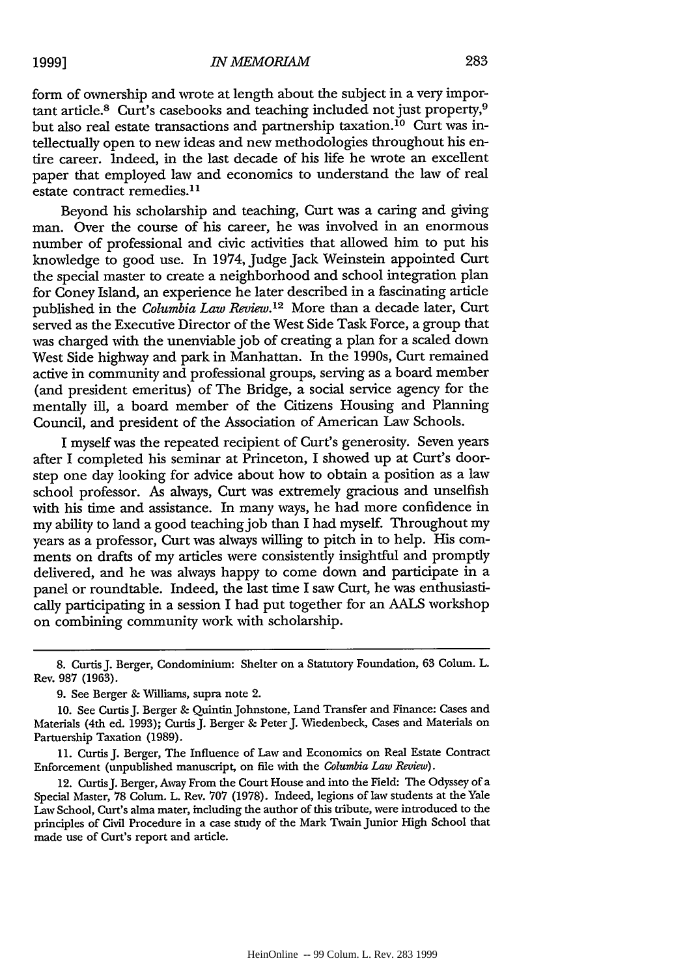form of ownership and wrote at length about the subject in a very important article.8 Curt's casebooks and teaching included not just property,9 but also real estate transactions and partnership taxation.<sup>10</sup> Curt was intellectually open to new ideas and new methodologies throughout his entire career. Indeed, in the last decade of his life he wrote an excellent paper that employed law and economics to understand the law of real estate contract remedies.<sup>11</sup>

Beyond his scholarship and teaching, Curt was a caring and giving man. Over the course of his career, he was involved in an enormous number of professional and civic activities that allowed him to put his knowledge to good use. In 1974, Judge Jack Weinstein appointed Curt the special master to create a neighborhood and school integration plan for Coney Island, an experience he later described in a fascinating article published in the *Columbia Law Review*.<sup>12</sup> More than a decade later, Curt served as the Executive Director of the West Side Task Force, a group that was charged with the unenviable job of creating a plan for a scaled down West Side highway and park in Manhattan. In the 1990s, Curt remained active in community and professional groups, serving as a board member (and president emeritus) of The Bridge, a social service agency for the mentally ill, a board member of the Citizens Housing and Planning Council, and president of the Association of American Law Schools.

I myself was the repeated recipient of Curt's generosity. Seven years after I completed his seminar at Princeton, I showed up at Curt's doorstep one day looking for advice about how to obtain a position as a law school professor. As always, Curt was extremely gracious and unselfish with his time and assistance. In many ways, he had more confidence in my ability to land a good teaching job than I had myself. Throughout my years as a professor, Curt was always willing to pitch in to help. His comments on drafts of my articles were consistently insightful and promptly delivered, and he was always happy to come down and participate in a panel or roundtable. Indeed, the last time I saw Curt, he was enthusiastically participating in a session I had put together for an AALS workshop on combining community work with scholarship.

12. CurtisJ. Berger, Away From the Court House and into the Field: The Odyssey of a Special Master, 78 Colum. L. Rev. 707 (1978). Indeed, legions of law students at the Yale Law School, Curt's alma mater, including the author of this tribute, were introduced to the principles of Civil Procedure in a case study of the Mark Twain Junior High School that made use of Curt's report and article.

<sup>8.</sup> CurtisJ. Berger, Condominium: Shelter on a Statutory Foundation, **63** Colum. L. Rev. 987 (1963).

<sup>9.</sup> See Berger **&** Williams, supra note 2.

<sup>10.</sup> See CurtisJ. Berger **&** QuintinJohnstone, Land Transfer and Finance: Cases and Materials (4th ed. 1993); CurtisJ. Berger **&** PeterJ. Wiedenbeck, Cases and Materials on Partuership Taxation (1989).

<sup>11.</sup> Curtis J. Berger, The Influence of Law and Economics on Real Estate Contract Enforcement (unpublished manuscript, on file with the *Columbia Law Review).*